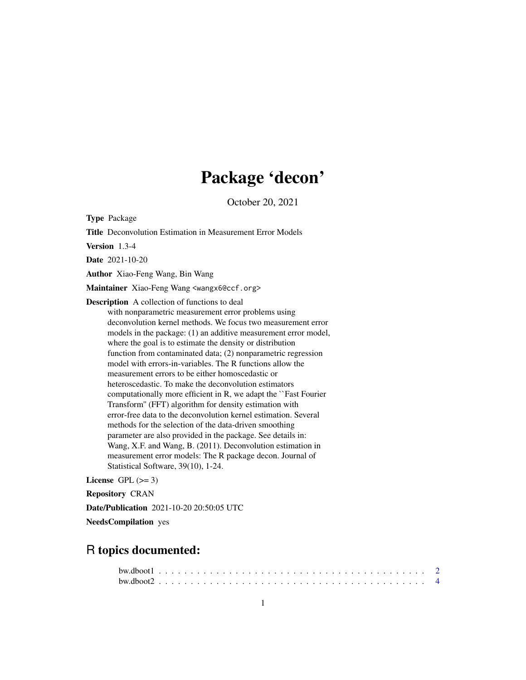## Package 'decon'

October 20, 2021

Type Package

Title Deconvolution Estimation in Measurement Error Models

Version 1.3-4

Date 2021-10-20

Author Xiao-Feng Wang, Bin Wang

Maintainer Xiao-Feng Wang <wangx6@ccf.org>

Description A collection of functions to deal with nonparametric measurement error problems using deconvolution kernel methods. We focus two measurement error models in the package: (1) an additive measurement error model, where the goal is to estimate the density or distribution function from contaminated data; (2) nonparametric regression model with errors-in-variables. The R functions allow the measurement errors to be either homoscedastic or heteroscedastic. To make the deconvolution estimators computationally more efficient in R, we adapt the ``Fast Fourier Transform'' (FFT) algorithm for density estimation with error-free data to the deconvolution kernel estimation. Several methods for the selection of the data-driven smoothing parameter are also provided in the package. See details in: Wang, X.F. and Wang, B. (2011). Deconvolution estimation in measurement error models: The R package decon. Journal of Statistical Software, 39(10), 1-24.

License GPL  $(>= 3)$ 

Repository CRAN

Date/Publication 2021-10-20 20:50:05 UTC

NeedsCompilation yes

## R topics documented: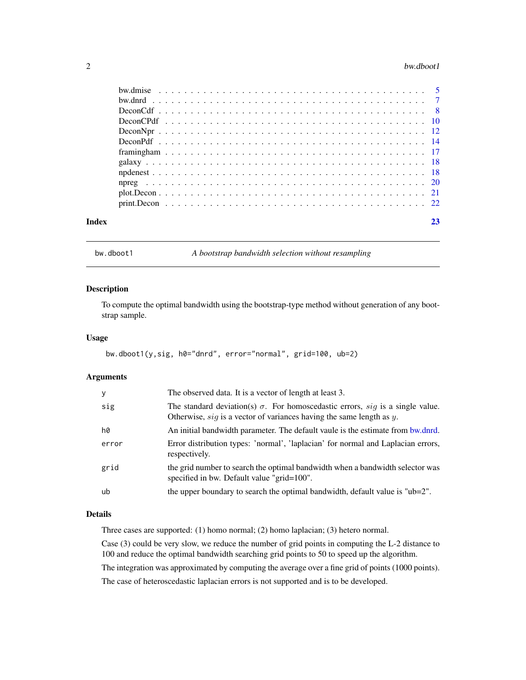#### <span id="page-1-0"></span> $2$  bw.dboot1

| Index | 23 |
|-------|----|

<span id="page-1-1"></span>bw.dboot1 *A bootstrap bandwidth selection without resampling*

### Description

To compute the optimal bandwidth using the bootstrap-type method without generation of any bootstrap sample.

#### Usage

```
bw.dboot1(y,sig, h0="dnrd", error="normal", grid=100, ub=2)
```
### Arguments

| y     | The observed data. It is a vector of length at least 3.                                                                                                            |
|-------|--------------------------------------------------------------------------------------------------------------------------------------------------------------------|
| sig   | The standard deviation(s) $\sigma$ . For homoscedastic errors, sig is a single value.<br>Otherwise, $sig$ is a vector of variances having the same length as $y$ . |
| h0    | An initial bandwidth parameter. The default vaule is the estimate from bw.dnrd.                                                                                    |
| error | Error distribution types: 'normal', 'laplacian' for normal and Laplacian errors,<br>respectively.                                                                  |
| grid  | the grid number to search the optimal bandwidth when a bandwidth selector was<br>specified in bw. Default value "grid=100".                                        |
| ub    | the upper boundary to search the optimal bandwidth, default value is " $ub=2$ ".                                                                                   |

### Details

Three cases are supported: (1) homo normal; (2) homo laplacian; (3) hetero normal.

Case (3) could be very slow, we reduce the number of grid points in computing the L-2 distance to 100 and reduce the optimal bandwidth searching grid points to 50 to speed up the algorithm.

The integration was approximated by computing the average over a fine grid of points (1000 points).

The case of heteroscedastic laplacian errors is not supported and is to be developed.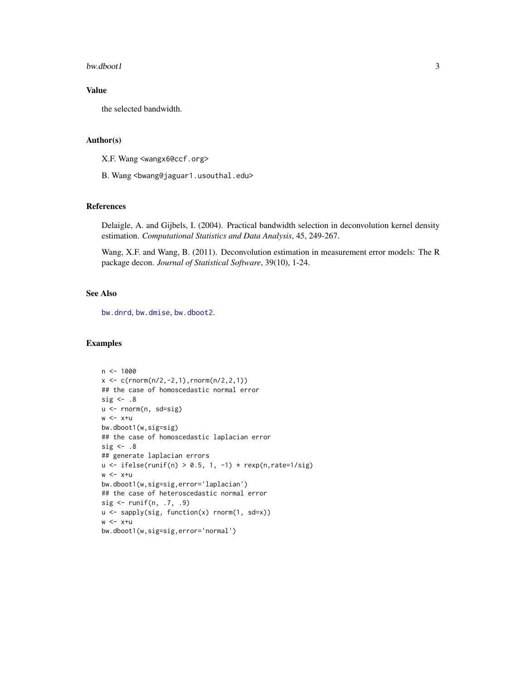#### <span id="page-2-0"></span>bw.dboot1 3

### Value

the selected bandwidth.

### Author(s)

X.F. Wang <wangx6@ccf.org>

B. Wang <bwang@jaguar1.usouthal.edu>

#### References

Delaigle, A. and Gijbels, I. (2004). Practical bandwidth selection in deconvolution kernel density estimation. *Computational Statistics and Data Analysis*, 45, 249-267.

Wang, X.F. and Wang, B. (2011). Deconvolution estimation in measurement error models: The R package decon. *Journal of Statistical Software*, 39(10), 1-24.

### See Also

[bw.dnrd](#page-6-1), [bw.dmise](#page-4-1), [bw.dboot2](#page-3-1).

### Examples

```
n < -1000x \leq c(\text{rnorm}(n/2, -2, 1), \text{rnorm}(n/2, 2, 1))## the case of homoscedastic normal error
sig \leftarrow .8u <- rnorm(n, sd=sig)
w < -x+ubw.dboot1(w,sig=sig)
## the case of homoscedastic laplacian error
sig \leftarrow .8## generate laplacian errors
u \leftarrow ifelse(runif(n) > 0.5, 1, -1) * rexp(n, rate=1/sig)
w < -x+ubw.dboot1(w,sig=sig,error='laplacian')
## the case of heteroscedastic normal error
sig <- runif(n, .7, .9)
u <- sapply(sig, function(x) rnorm(1, sd=x))
w < -x+ubw.dboot1(w,sig=sig,error='normal')
```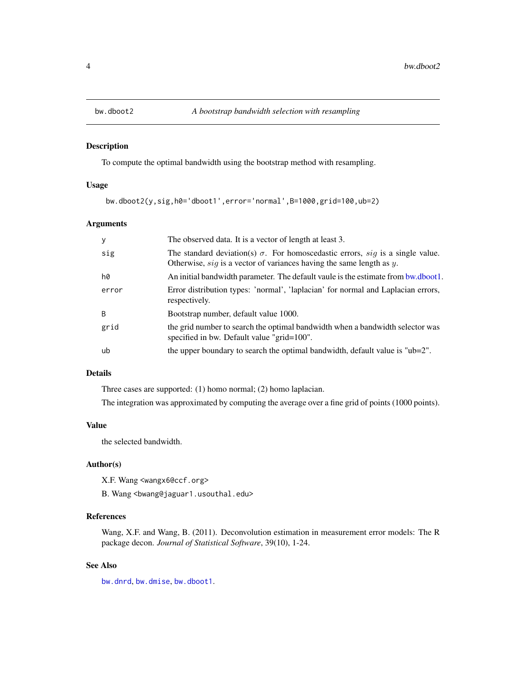<span id="page-3-1"></span><span id="page-3-0"></span>

### Description

To compute the optimal bandwidth using the bootstrap method with resampling.

### Usage

bw.dboot2(y,sig,h0='dboot1',error='normal',B=1000,grid=100,ub=2)

### Arguments

| y     | The observed data. It is a vector of length at least 3.                                                                                                         |
|-------|-----------------------------------------------------------------------------------------------------------------------------------------------------------------|
| sig   | The standard deviation(s) $\sigma$ . For homoscedastic errors, sig is a single value.<br>Otherwise, $sig$ is a vector of variances having the same length as y. |
| h0    | An initial bandwidth parameter. The default vaule is the estimate from bw.dboot1.                                                                               |
| error | Error distribution types: 'normal', 'laplacian' for normal and Laplacian errors,<br>respectively.                                                               |
| B.    | Bootstrap number, default value 1000.                                                                                                                           |
| grid  | the grid number to search the optimal bandwidth when a bandwidth selector was<br>specified in bw. Default value "grid=100".                                     |
| ub    | the upper boundary to search the optimal bandwidth, default value is " $ub=2$ ".                                                                                |

### Details

Three cases are supported: (1) homo normal; (2) homo laplacian.

The integration was approximated by computing the average over a fine grid of points (1000 points).

### Value

the selected bandwidth.

### Author(s)

X.F. Wang <wangx6@ccf.org>

B. Wang <bwang@jaguar1.usouthal.edu>

### References

Wang, X.F. and Wang, B. (2011). Deconvolution estimation in measurement error models: The R package decon. *Journal of Statistical Software*, 39(10), 1-24.

### See Also

[bw.dnrd](#page-6-1), [bw.dmise](#page-4-1), [bw.dboot1](#page-1-1).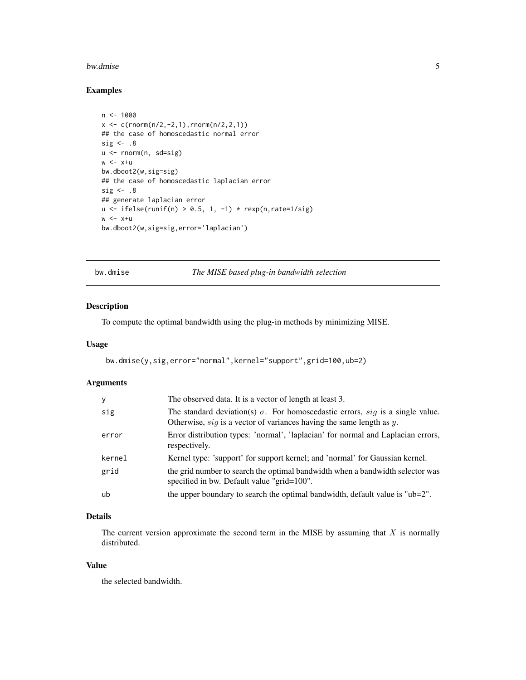#### <span id="page-4-0"></span>bw.dmise 5

### Examples

```
n < -1000x \leq c(\text{rnorm}(n/2, -2, 1), \text{rnorm}(n/2, 2, 1))## the case of homoscedastic normal error
sig \leftarrow .8u <- rnorm(n, sd=sig)
w < -x+ubw.dboot2(w,sig=sig)
## the case of homoscedastic laplacian error
sig \leftarrow .8## generate laplacian error
u <- ifelse(runif(n) > 0.5, 1, -1) * resp(n, rate=1/sig)w < -x+ubw.dboot2(w,sig=sig,error='laplacian')
```
<span id="page-4-1"></span>bw.dmise *The MISE based plug-in bandwidth selection*

### Description

To compute the optimal bandwidth using the plug-in methods by minimizing MISE.

### Usage

```
bw.dmise(y,sig,error="normal",kernel="support",grid=100,ub=2)
```
### Arguments

| y      | The observed data. It is a vector of length at least 3.                                                                                                            |
|--------|--------------------------------------------------------------------------------------------------------------------------------------------------------------------|
| sig    | The standard deviation(s) $\sigma$ . For homoscedastic errors, sig is a single value.<br>Otherwise, $sig$ is a vector of variances having the same length as $y$ . |
| error  | Error distribution types: 'normal', 'laplacian' for normal and Laplacian errors,<br>respectively.                                                                  |
| kernel | Kernel type: 'support' for support kernel; and 'normal' for Gaussian kernel.                                                                                       |
| grid   | the grid number to search the optimal bandwidth when a bandwidth selector was<br>specified in bw. Default value "grid=100".                                        |
| ub     | the upper boundary to search the optimal bandwidth, default value is "ub=2".                                                                                       |

### Details

The current version approximate the second term in the MISE by assuming that  $X$  is normally distributed.

### Value

the selected bandwidth.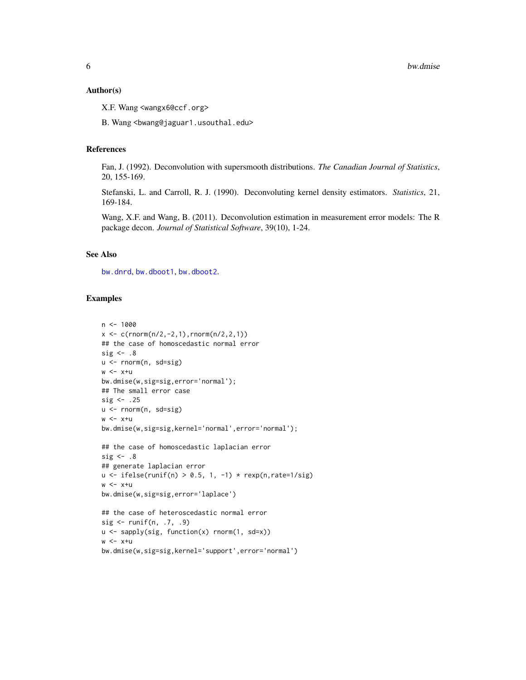#### <span id="page-5-0"></span>Author(s)

X.F. Wang <wangx6@ccf.org>

B. Wang <bwang@jaguar1.usouthal.edu>

#### References

Fan, J. (1992). Deconvolution with supersmooth distributions. *The Canadian Journal of Statistics*, 20, 155-169.

Stefanski, L. and Carroll, R. J. (1990). Deconvoluting kernel density estimators. *Statistics*, 21, 169-184.

Wang, X.F. and Wang, B. (2011). Deconvolution estimation in measurement error models: The R package decon. *Journal of Statistical Software*, 39(10), 1-24.

### See Also

[bw.dnrd](#page-6-1), [bw.dboot1](#page-1-1), [bw.dboot2](#page-3-1).

#### Examples

```
n < -1000x \leq c(\text{rnorm}(n/2, -2, 1), \text{rnorm}(n/2, 2, 1))## the case of homoscedastic normal error
sig \leftarrow .8u <- rnorm(n, sd=sig)
w < -x+ubw.dmise(w,sig=sig,error='normal');
## The small error case
sig \leftarrow .25u <- rnorm(n, sd=sig)
w < -x+ubw.dmise(w,sig=sig,kernel='normal',error='normal');
## the case of homoscedastic laplacian error
sig \leftarrow .8## generate laplacian error
u \le ifelse(runif(n) > 0.5, 1, -1) * rexp(n, rate=1/sig)
w < -x+ubw.dmise(w,sig=sig,error='laplace')
## the case of heteroscedastic normal error
sig <- runif(n, .7, .9)
u <- sapply(sig, function(x) rnorm(1, sd=x))
w < -x+ubw.dmise(w,sig=sig,kernel='support',error='normal')
```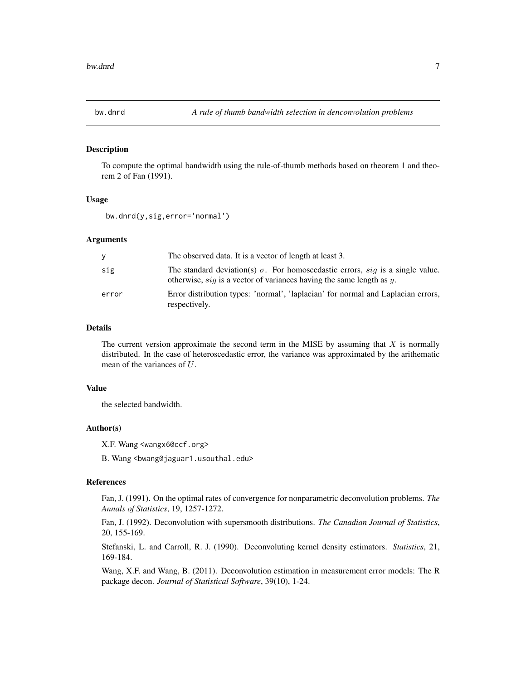<span id="page-6-1"></span><span id="page-6-0"></span>

#### Description

To compute the optimal bandwidth using the rule-of-thumb methods based on theorem 1 and theorem 2 of Fan (1991).

#### Usage

bw.dnrd(y,sig,error='normal')

#### Arguments

| У     | The observed data. It is a vector of length at least 3.                                                                                                            |
|-------|--------------------------------------------------------------------------------------------------------------------------------------------------------------------|
| sig   | The standard deviation(s) $\sigma$ . For homoscedastic errors, sig is a single value.<br>otherwise, $sig$ is a vector of variances having the same length as $y$ . |
| error | Error distribution types: 'normal', 'laplacian' for normal and Laplacian errors,<br>respectively.                                                                  |

### Details

The current version approximate the second term in the MISE by assuming that  $X$  is normally distributed. In the case of heteroscedastic error, the variance was approximated by the arithematic mean of the variances of U.

### Value

the selected bandwidth.

#### Author(s)

X.F. Wang <wangx6@ccf.org>

B. Wang <bwang@jaguar1.usouthal.edu>

#### References

Fan, J. (1991). On the optimal rates of convergence for nonparametric deconvolution problems. *The Annals of Statistics*, 19, 1257-1272.

Fan, J. (1992). Deconvolution with supersmooth distributions. *The Canadian Journal of Statistics*, 20, 155-169.

Stefanski, L. and Carroll, R. J. (1990). Deconvoluting kernel density estimators. *Statistics*, 21, 169-184.

Wang, X.F. and Wang, B. (2011). Deconvolution estimation in measurement error models: The R package decon. *Journal of Statistical Software*, 39(10), 1-24.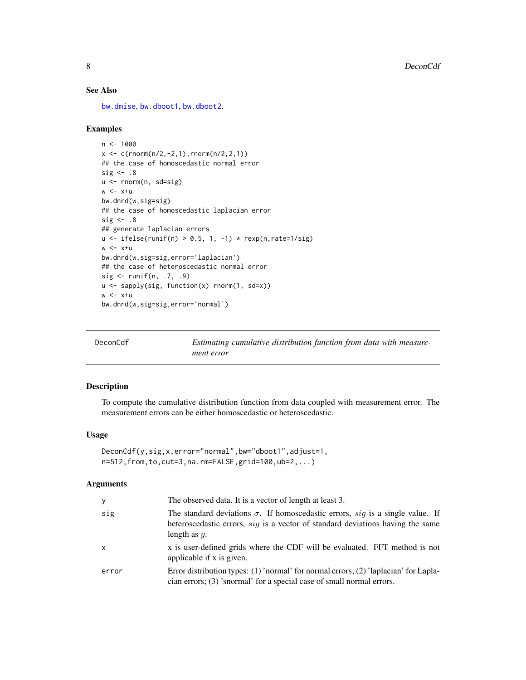### See Also

[bw.dmise](#page-4-1), [bw.dboot1](#page-1-1), [bw.dboot2](#page-3-1).

### Examples

```
n < -1000x \leq c(\text{rnorm}(n/2, -2, 1), \text{rnorm}(n/2, 2, 1))## the case of homoscedastic normal error
sig \leftarrow .8u <- rnorm(n, sd=sig)
w < -x+ubw.dnrd(w,sig=sig)
## the case of homoscedastic laplacian error
sig \leftarrow .8## generate laplacian errors
u \leftarrow ifelse(runif(n) > 0.5, 1, -1) * resp(n, rate=1/sig)w < -x+ubw.dnrd(w,sig=sig,error='laplacian')
## the case of heteroscedastic normal error
sig <- runif(n, .7, .9)
u <- sapply(sig, function(x) rnorm(1, sd=x))
w < -x+ubw.dnrd(w,sig=sig,error='normal')
```
<span id="page-7-1"></span>

| DeconCdf | Estimating cumulative distribution function from data with measure- |
|----------|---------------------------------------------------------------------|
|          | ment error                                                          |

### Description

To compute the cumulative distribution function from data coupled with measurement error. The measurement errors can be either homoscedastic or heteroscedastic.

### Usage

```
DeconCdf(y,sig,x,error="normal",bw="dboot1",adjust=1,
n=512,from,to,cut=3,na.rm=FALSE,grid=100,ub=2,...)
```
#### Arguments

| У     | The observed data. It is a vector of length at least 3.                                                                                                                                    |
|-------|--------------------------------------------------------------------------------------------------------------------------------------------------------------------------------------------|
| sig   | The standard deviations $\sigma$ . If homoscedastic errors, sig is a single value. If<br>heteroscedastic errors, sig is a vector of standard deviations having the same<br>length as $y$ . |
| x     | x is user-defined grids where the CDF will be evaluated. FFT method is not<br>applicable if x is given.                                                                                    |
| error | Error distribution types: $(1)$ 'normal' for normal errors; $(2)$ 'laplacian' for Lapla-<br>cian errors; (3) 'snormal' for a special case of small normal errors.                          |

<span id="page-7-0"></span>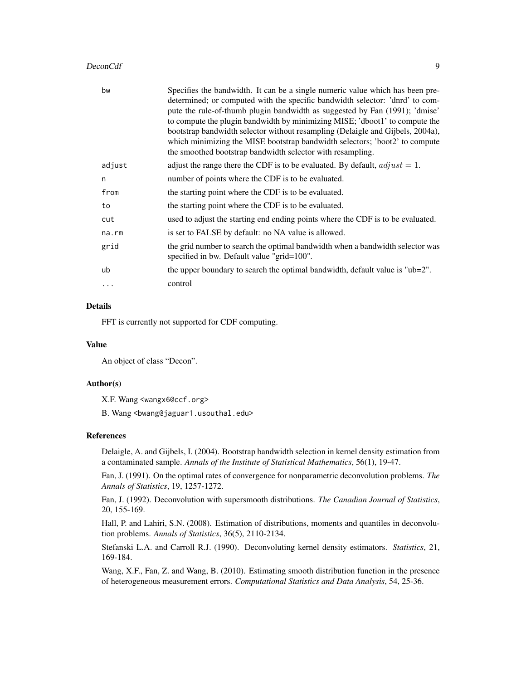#### DeconCdf 9

| Specifies the bandwidth. It can be a single numeric value which has been pre-<br>determined; or computed with the specific bandwidth selector: 'dnrd' to com-<br>pute the rule-of-thumb plugin bandwidth as suggested by Fan (1991); 'dmise'<br>to compute the plugin bandwidth by minimizing MISE; 'dboot1' to compute the<br>bootstrap bandwidth selector without resampling (Delaigle and Gijbels, 2004a),<br>which minimizing the MISE bootstrap bandwidth selectors; 'boot2' to compute<br>the smoothed bootstrap bandwidth selector with resampling. |
|------------------------------------------------------------------------------------------------------------------------------------------------------------------------------------------------------------------------------------------------------------------------------------------------------------------------------------------------------------------------------------------------------------------------------------------------------------------------------------------------------------------------------------------------------------|
| adjust the range there the CDF is to be evaluated. By default, $adjust = 1$ .                                                                                                                                                                                                                                                                                                                                                                                                                                                                              |
| number of points where the CDF is to be evaluated.                                                                                                                                                                                                                                                                                                                                                                                                                                                                                                         |
| the starting point where the CDF is to be evaluated.                                                                                                                                                                                                                                                                                                                                                                                                                                                                                                       |
| the starting point where the CDF is to be evaluated.                                                                                                                                                                                                                                                                                                                                                                                                                                                                                                       |
| used to adjust the starting end ending points where the CDF is to be evaluated.                                                                                                                                                                                                                                                                                                                                                                                                                                                                            |
| is set to FALSE by default: no NA value is allowed.                                                                                                                                                                                                                                                                                                                                                                                                                                                                                                        |
| the grid number to search the optimal bandwidth when a bandwidth selector was<br>specified in bw. Default value "grid=100".                                                                                                                                                                                                                                                                                                                                                                                                                                |
| the upper boundary to search the optimal bandwidth, default value is " $ub=2$ ".                                                                                                                                                                                                                                                                                                                                                                                                                                                                           |
| control                                                                                                                                                                                                                                                                                                                                                                                                                                                                                                                                                    |
|                                                                                                                                                                                                                                                                                                                                                                                                                                                                                                                                                            |

### Details

FFT is currently not supported for CDF computing.

### Value

An object of class "Decon".

### Author(s)

X.F. Wang <wangx6@ccf.org>

B. Wang <bwang@jaguar1.usouthal.edu>

### References

Delaigle, A. and Gijbels, I. (2004). Bootstrap bandwidth selection in kernel density estimation from a contaminated sample. *Annals of the Institute of Statistical Mathematics*, 56(1), 19-47.

Fan, J. (1991). On the optimal rates of convergence for nonparametric deconvolution problems. *The Annals of Statistics*, 19, 1257-1272.

Fan, J. (1992). Deconvolution with supersmooth distributions. *The Canadian Journal of Statistics*, 20, 155-169.

Hall, P. and Lahiri, S.N. (2008). Estimation of distributions, moments and quantiles in deconvolution problems. *Annals of Statistics*, 36(5), 2110-2134.

Stefanski L.A. and Carroll R.J. (1990). Deconvoluting kernel density estimators. *Statistics*, 21, 169-184.

Wang, X.F., Fan, Z. and Wang, B. (2010). Estimating smooth distribution function in the presence of heterogeneous measurement errors. *Computational Statistics and Data Analysis*, 54, 25-36.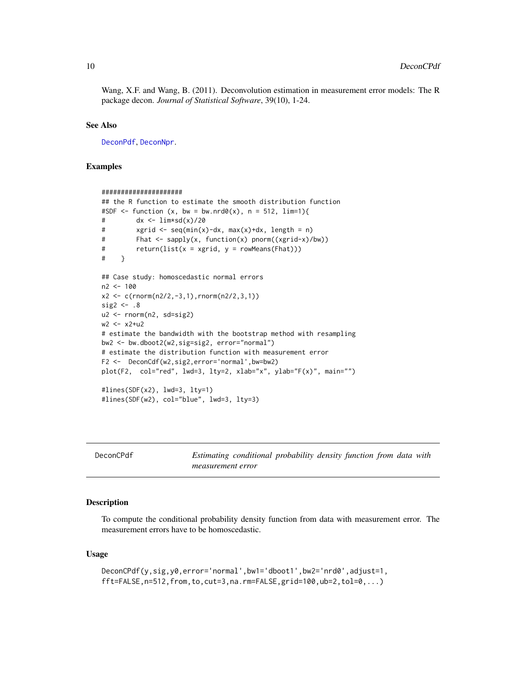<span id="page-9-0"></span>Wang, X.F. and Wang, B. (2011). Deconvolution estimation in measurement error models: The R package decon. *Journal of Statistical Software*, 39(10), 1-24.

#### See Also

[DeconPdf](#page-13-1), [DeconNpr](#page-11-1).

### Examples

```
#####################
## the R function to estimate the smooth distribution function
#SDF \le function (x, bw = bw.nrd0(x), n = 512, lim=1){
# dx <- lim*sd(x)/20
# xgrid <- seq(min(x)-dx, max(x)+dx, length = n)
# Fhat <- sapply(x, function(x) pnorm((xgrid-x)/bw))
# return(list(x = xgrid, y = rowMeans(Fhat)))
# }
## Case study: homoscedastic normal errors
n2 <- 100
x2 <- c(rnorm(n2/2,-3,1),rnorm(n2/2,3,1))
sig2 \leq -0.8u2 <- rnorm(n2, sd=sig2)
w2 <- x2+u2
# estimate the bandwidth with the bootstrap method with resampling
bw2 <- bw.dboot2(w2,sig=sig2, error="normal")
# estimate the distribution function with measurement error
F2 <- DeconCdf(w2,sig2,error='normal',bw=bw2)
plot(F2, col="red", lwd=3, lty=2, xlab="x", ylab="F(x)", main="")
#lines(SDF(x2), lwd=3, lty=1)
#lines(SDF(w2), col="blue", lwd=3, lty=3)
```
<span id="page-9-1"></span>

| DeconCPdf | Estimating conditional probability density function from data with |
|-----------|--------------------------------------------------------------------|
|           | measurement error                                                  |

#### Description

To compute the conditional probability density function from data with measurement error. The measurement errors have to be homoscedastic.

#### Usage

```
DeconCPdf(y,sig,y0,error='normal',bw1='dboot1',bw2='nrd0',adjust=1,
fft=FALSE,n=512,from,to,cut=3,na.rm=FALSE,grid=100,ub=2,tol=0,...)
```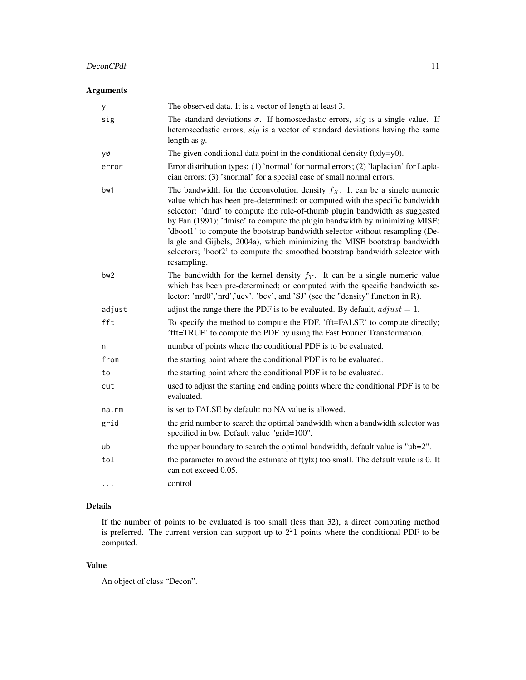### DeconCPdf 11

### Arguments

| У               | The observed data. It is a vector of length at least 3.                                                                                                                                                                                                                                                                                                                                                                                                                                                                                                                                 |
|-----------------|-----------------------------------------------------------------------------------------------------------------------------------------------------------------------------------------------------------------------------------------------------------------------------------------------------------------------------------------------------------------------------------------------------------------------------------------------------------------------------------------------------------------------------------------------------------------------------------------|
| sig             | The standard deviations $\sigma$ . If homoscedastic errors, sig is a single value. If<br>heteroscedastic errors, sig is a vector of standard deviations having the same<br>length as $y$ .                                                                                                                                                                                                                                                                                                                                                                                              |
| y0              | The given conditional data point in the conditional density $f(x y=y0)$ .                                                                                                                                                                                                                                                                                                                                                                                                                                                                                                               |
| error           | Error distribution types: (1) 'normal' for normal errors; (2) 'laplacian' for Lapla-<br>cian errors; (3) 'snormal' for a special case of small normal errors.                                                                                                                                                                                                                                                                                                                                                                                                                           |
| bw1             | The bandwidth for the deconvolution density $f_X$ . It can be a single numeric<br>value which has been pre-determined; or computed with the specific bandwidth<br>selector: 'dnrd' to compute the rule-of-thumb plugin bandwidth as suggested<br>by Fan (1991); 'dmise' to compute the plugin bandwidth by minimizing MISE;<br>'dboot1' to compute the bootstrap bandwidth selector without resampling (De-<br>laigle and Gijbels, 2004a), which minimizing the MISE bootstrap bandwidth<br>selectors; 'boot2' to compute the smoothed bootstrap bandwidth selector with<br>resampling. |
| bw <sub>2</sub> | The bandwidth for the kernel density $f_Y$ . It can be a single numeric value<br>which has been pre-determined; or computed with the specific bandwidth se-<br>lector: 'nrd0','nrd','ucv', 'bcv', and 'SJ' (see the "density" function in R).                                                                                                                                                                                                                                                                                                                                           |
| adjust          | adjust the range there the PDF is to be evaluated. By default, $adjust = 1$ .                                                                                                                                                                                                                                                                                                                                                                                                                                                                                                           |
| fft             | To specify the method to compute the PDF. 'fft=FALSE' to compute directly;<br>'fft=TRUE' to compute the PDF by using the Fast Fourier Transformation.                                                                                                                                                                                                                                                                                                                                                                                                                                   |
| n               | number of points where the conditional PDF is to be evaluated.                                                                                                                                                                                                                                                                                                                                                                                                                                                                                                                          |
| from            | the starting point where the conditional PDF is to be evaluated.                                                                                                                                                                                                                                                                                                                                                                                                                                                                                                                        |
| to              | the starting point where the conditional PDF is to be evaluated.                                                                                                                                                                                                                                                                                                                                                                                                                                                                                                                        |
| cut             | used to adjust the starting end ending points where the conditional PDF is to be<br>evaluated.                                                                                                                                                                                                                                                                                                                                                                                                                                                                                          |
| na.rm           | is set to FALSE by default: no NA value is allowed.                                                                                                                                                                                                                                                                                                                                                                                                                                                                                                                                     |
| grid            | the grid number to search the optimal bandwidth when a bandwidth selector was<br>specified in bw. Default value "grid=100".                                                                                                                                                                                                                                                                                                                                                                                                                                                             |
| ub              | the upper boundary to search the optimal bandwidth, default value is "ub=2".                                                                                                                                                                                                                                                                                                                                                                                                                                                                                                            |
| tol             | the parameter to avoid the estimate of $f(y x)$ too small. The default vaule is 0. It<br>can not exceed 0.05.                                                                                                                                                                                                                                                                                                                                                                                                                                                                           |
| $\cdots$        | control                                                                                                                                                                                                                                                                                                                                                                                                                                                                                                                                                                                 |

### Details

If the number of points to be evaluated is too small (less than 32), a direct computing method is preferred. The current version can support up to  $2<sup>2</sup>1$  points where the conditional PDF to be computed.

### Value

An object of class "Decon".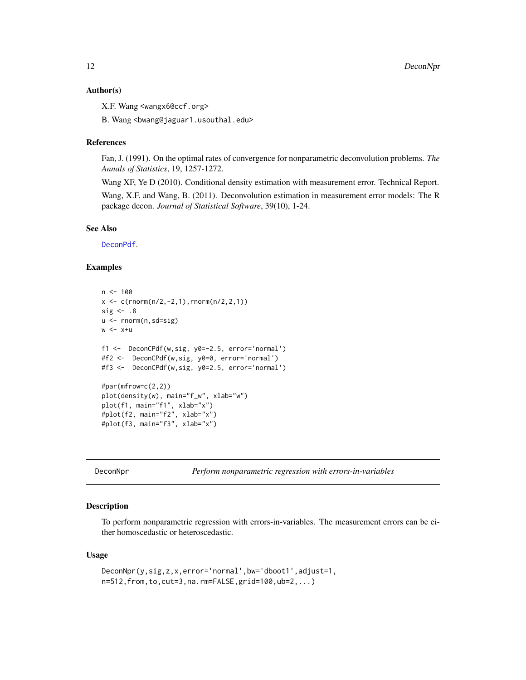#### <span id="page-11-0"></span>Author(s)

X.F. Wang <wangx6@ccf.org>

B. Wang <bwang@jaguar1.usouthal.edu>

### References

Fan, J. (1991). On the optimal rates of convergence for nonparametric deconvolution problems. *The Annals of Statistics*, 19, 1257-1272.

Wang XF, Ye D (2010). Conditional density estimation with measurement error. Technical Report. Wang, X.F. and Wang, B. (2011). Deconvolution estimation in measurement error models: The R package decon. *Journal of Statistical Software*, 39(10), 1-24.

#### See Also

[DeconPdf](#page-13-1).

### Examples

```
n < - 100x \leq c(\text{rnorm}(n/2, -2, 1), \text{rnorm}(n/2, 2, 1))sig \leftarrow .8u <- rnorm(n,sd=sig)
w < -x+uf1 <- DeconCPdf(w,sig, y0=-2.5, error='normal')
#f2 <- DeconCPdf(w,sig, y0=0, error='normal')
#f3 <- DeconCPdf(w,sig, y0=2.5, error='normal')
#par(mfrow=c(2,2))
plot(density(w), main="f_w", xlab="w")
plot(f1, main="f1", xlab="x")
#plot(f2, main="f2", xlab="x")
#plot(f3, main="f3", xlab="x")
```
<span id="page-11-1"></span>DeconNpr *Perform nonparametric regression with errors-in-variables*

### Description

To perform nonparametric regression with errors-in-variables. The measurement errors can be either homoscedastic or heteroscedastic.

#### Usage

```
DeconNpr(y,sig,z,x,error='normal',bw='dboot1',adjust=1,
n=512,from,to,cut=3,na.rm=FALSE,grid=100,ub=2,...)
```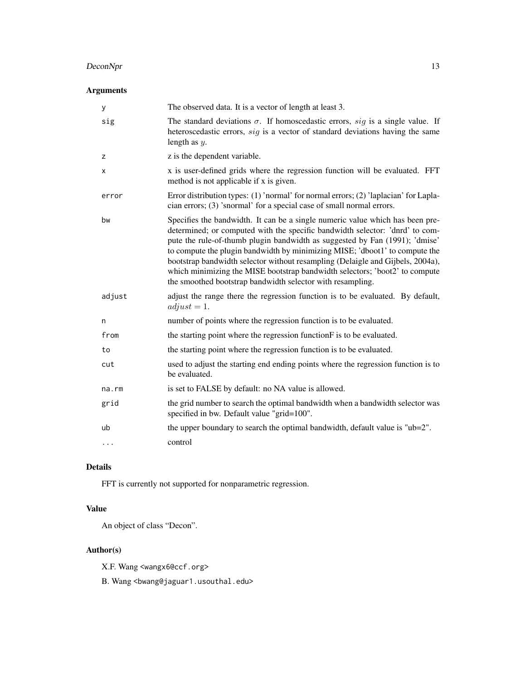### DeconNpr 13

### Arguments

| у        | The observed data. It is a vector of length at least 3.                                                                                                                                                                                                                                                                                                                                                                                                                                                                                                    |
|----------|------------------------------------------------------------------------------------------------------------------------------------------------------------------------------------------------------------------------------------------------------------------------------------------------------------------------------------------------------------------------------------------------------------------------------------------------------------------------------------------------------------------------------------------------------------|
| sig      | The standard deviations $\sigma$ . If homoscedastic errors, sig is a single value. If<br>heteroscedastic errors, sig is a vector of standard deviations having the same<br>length as $y$ .                                                                                                                                                                                                                                                                                                                                                                 |
| z        | z is the dependent variable.                                                                                                                                                                                                                                                                                                                                                                                                                                                                                                                               |
| X        | x is user-defined grids where the regression function will be evaluated. FFT<br>method is not applicable if x is given.                                                                                                                                                                                                                                                                                                                                                                                                                                    |
| error    | Error distribution types: (1) 'normal' for normal errors; (2) 'laplacian' for Lapla-<br>cian errors; (3) 'snormal' for a special case of small normal errors.                                                                                                                                                                                                                                                                                                                                                                                              |
| bw       | Specifies the bandwidth. It can be a single numeric value which has been pre-<br>determined; or computed with the specific bandwidth selector: 'dnrd' to com-<br>pute the rule-of-thumb plugin bandwidth as suggested by Fan (1991); 'dmise'<br>to compute the plugin bandwidth by minimizing MISE; 'dboot1' to compute the<br>bootstrap bandwidth selector without resampling (Delaigle and Gijbels, 2004a),<br>which minimizing the MISE bootstrap bandwidth selectors; 'boot2' to compute<br>the smoothed bootstrap bandwidth selector with resampling. |
| adjust   | adjust the range there the regression function is to be evaluated. By default,<br>$adjust = 1.$                                                                                                                                                                                                                                                                                                                                                                                                                                                            |
| n        | number of points where the regression function is to be evaluated.                                                                                                                                                                                                                                                                                                                                                                                                                                                                                         |
| from     | the starting point where the regression function F is to be evaluated.                                                                                                                                                                                                                                                                                                                                                                                                                                                                                     |
| to       | the starting point where the regression function is to be evaluated.                                                                                                                                                                                                                                                                                                                                                                                                                                                                                       |
| cut      | used to adjust the starting end ending points where the regression function is to<br>be evaluated.                                                                                                                                                                                                                                                                                                                                                                                                                                                         |
| na.rm    | is set to FALSE by default: no NA value is allowed.                                                                                                                                                                                                                                                                                                                                                                                                                                                                                                        |
| grid     | the grid number to search the optimal bandwidth when a bandwidth selector was<br>specified in bw. Default value "grid=100".                                                                                                                                                                                                                                                                                                                                                                                                                                |
| ub       | the upper boundary to search the optimal bandwidth, default value is "ub=2".                                                                                                                                                                                                                                                                                                                                                                                                                                                                               |
| $\cdots$ | control                                                                                                                                                                                                                                                                                                                                                                                                                                                                                                                                                    |

### Details

FFT is currently not supported for nonparametric regression.

### Value

An object of class "Decon".

### Author(s)

X.F. Wang <wangx6@ccf.org>

B. Wang <br/>bwang@jaguar1.usouthal.edu>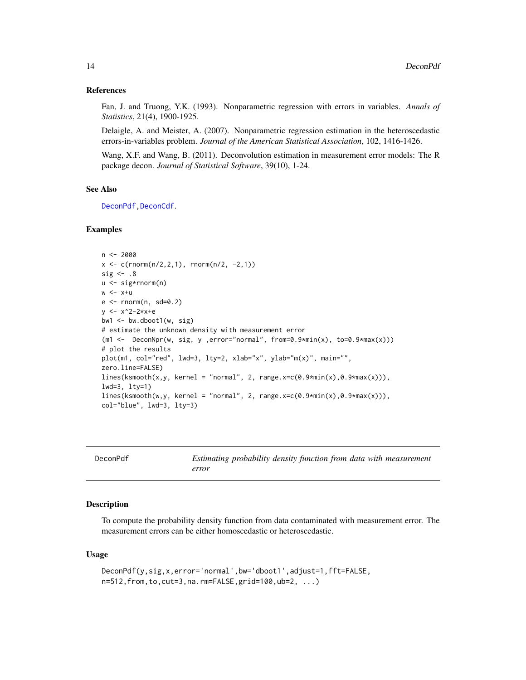#### <span id="page-13-0"></span>References

Fan, J. and Truong, Y.K. (1993). Nonparametric regression with errors in variables. *Annals of Statistics*, 21(4), 1900-1925.

Delaigle, A. and Meister, A. (2007). Nonparametric regression estimation in the heteroscedastic errors-in-variables problem. *Journal of the American Statistical Association*, 102, 1416-1426.

Wang, X.F. and Wang, B. (2011). Deconvolution estimation in measurement error models: The R package decon. *Journal of Statistical Software*, 39(10), 1-24.

### See Also

[DeconPdf](#page-13-1), DeconCdf.

### Examples

```
n <- 2000
x \leq c(\text{rnorm}(n/2, 2, 1), \text{rnorm}(n/2, -2, 1))sig \leftarrow .8u <- sig*rnorm(n)
w < -x+ue <- rnorm(n, sd=0.2)
y <- x^2-2*x+e
bw1 \leq bw.dboot1(w, sig)
# estimate the unknown density with measurement error
(m1 \leq -\text{DeconNpr}(w, sig, y, error="normal", from=0.9*min(x), to=0.9*max(x)))# plot the results
plot(m1, col="red", lwd=3, lty=2, xlab="x", ylab="m(x)", main="",
zero.line=FALSE)
lines(ksmooth(x,y, kernel = "normal", 2, range.x=c(0.9*min(x),0.9*max(x))),
lwd=3, lty=1)
lines(ksmooth(w,y, kernel = "normal", 2, range.x=c(0.9*min(x),0.9*max(x))),
col="blue", lwd=3, lty=3)
```
<span id="page-13-1"></span>

| DeconPdf | Estimating probability density function from data with measurement |
|----------|--------------------------------------------------------------------|
|          | error                                                              |

### Description

To compute the probability density function from data contaminated with measurement error. The measurement errors can be either homoscedastic or heteroscedastic.

#### Usage

```
DeconPdf(y,sig,x,error='normal',bw='dboot1',adjust=1,fft=FALSE,
n=512,from,to,cut=3,na.rm=FALSE,grid=100,ub=2, ...)
```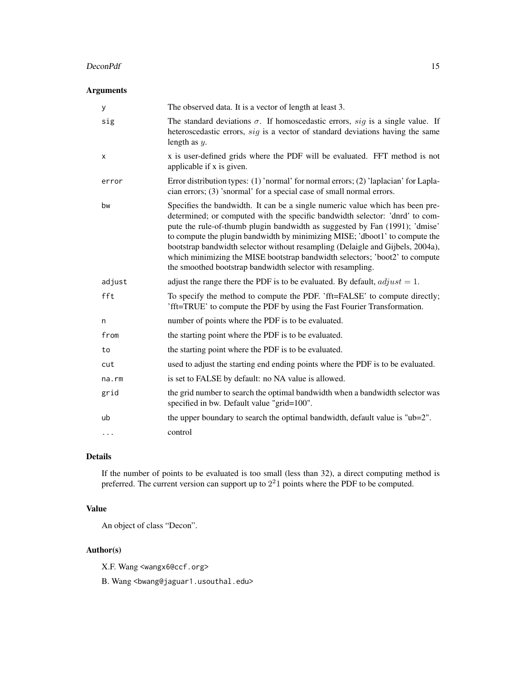#### DeconPdf 15

### Arguments

| у           | The observed data. It is a vector of length at least 3.                                                                                                                                                                                                                                                                                                                                                                                                                                                                                                    |
|-------------|------------------------------------------------------------------------------------------------------------------------------------------------------------------------------------------------------------------------------------------------------------------------------------------------------------------------------------------------------------------------------------------------------------------------------------------------------------------------------------------------------------------------------------------------------------|
| sig         | The standard deviations $\sigma$ . If homoscedastic errors, sig is a single value. If<br>heteroscedastic errors, sig is a vector of standard deviations having the same<br>length as $y$ .                                                                                                                                                                                                                                                                                                                                                                 |
| х           | x is user-defined grids where the PDF will be evaluated. FFT method is not<br>applicable if x is given.                                                                                                                                                                                                                                                                                                                                                                                                                                                    |
| error       | Error distribution types: $(1)$ 'normal' for normal errors; $(2)$ 'laplacian' for Lapla-<br>cian errors; (3) 'snormal' for a special case of small normal errors.                                                                                                                                                                                                                                                                                                                                                                                          |
| bw          | Specifies the bandwidth. It can be a single numeric value which has been pre-<br>determined; or computed with the specific bandwidth selector: 'dnrd' to com-<br>pute the rule-of-thumb plugin bandwidth as suggested by Fan (1991); 'dmise'<br>to compute the plugin bandwidth by minimizing MISE; 'dboot1' to compute the<br>bootstrap bandwidth selector without resampling (Delaigle and Gijbels, 2004a),<br>which minimizing the MISE bootstrap bandwidth selectors; 'boot2' to compute<br>the smoothed bootstrap bandwidth selector with resampling. |
| adjust      | adjust the range there the PDF is to be evaluated. By default, $adjust = 1$ .                                                                                                                                                                                                                                                                                                                                                                                                                                                                              |
| fft         | To specify the method to compute the PDF. 'fft=FALSE' to compute directly;<br>'fft=TRUE' to compute the PDF by using the Fast Fourier Transformation.                                                                                                                                                                                                                                                                                                                                                                                                      |
| n           | number of points where the PDF is to be evaluated.                                                                                                                                                                                                                                                                                                                                                                                                                                                                                                         |
| from        | the starting point where the PDF is to be evaluated.                                                                                                                                                                                                                                                                                                                                                                                                                                                                                                       |
| to          | the starting point where the PDF is to be evaluated.                                                                                                                                                                                                                                                                                                                                                                                                                                                                                                       |
| cut         | used to adjust the starting end ending points where the PDF is to be evaluated.                                                                                                                                                                                                                                                                                                                                                                                                                                                                            |
| $na$ . $rm$ | is set to FALSE by default: no NA value is allowed.                                                                                                                                                                                                                                                                                                                                                                                                                                                                                                        |
| grid        | the grid number to search the optimal bandwidth when a bandwidth selector was<br>specified in bw. Default value "grid=100".                                                                                                                                                                                                                                                                                                                                                                                                                                |
| ub          | the upper boundary to search the optimal bandwidth, default value is "ub=2".                                                                                                                                                                                                                                                                                                                                                                                                                                                                               |
| $\cdots$    | control                                                                                                                                                                                                                                                                                                                                                                                                                                                                                                                                                    |

### Details

If the number of points to be evaluated is too small (less than 32), a direct computing method is preferred. The current version can support up to  $2<sup>2</sup>1$  points where the PDF to be computed.

### Value

An object of class "Decon".

### Author(s)

X.F. Wang <wangx6@ccf.org>

B. Wang <br/>bwang@jaguar1.usouthal.edu>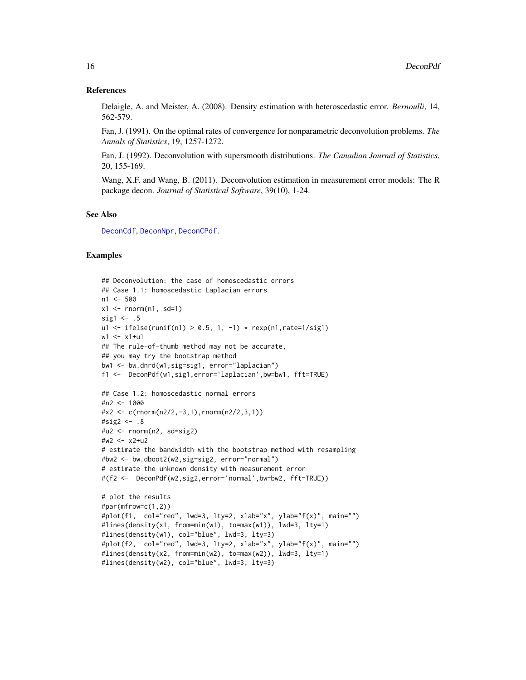#### <span id="page-15-0"></span>References

Delaigle, A. and Meister, A. (2008). Density estimation with heteroscedastic error. *Bernoulli*, 14, 562-579.

Fan, J. (1991). On the optimal rates of convergence for nonparametric deconvolution problems. *The Annals of Statistics*, 19, 1257-1272.

Fan, J. (1992). Deconvolution with supersmooth distributions. *The Canadian Journal of Statistics*, 20, 155-169.

Wang, X.F. and Wang, B. (2011). Deconvolution estimation in measurement error models: The R package decon. *Journal of Statistical Software*, 39(10), 1-24.

#### See Also

[DeconCdf](#page-7-1), [DeconNpr](#page-11-1), [DeconCPdf](#page-9-1).

### Examples

```
## Deconvolution: the case of homoscedastic errors
## Case 1.1: homoscedastic Laplacian errors
n1 < -500x1 \le- rnorm(n1, sd=1)
sig1 \leftarrow .5
ul < - ifelse(runif(n1) > 0.5, 1, -1) * resp(n1, rate=1/sig1)w1 <- x1+u1## The rule-of-thumb method may not be accurate,
## you may try the bootstrap method
bw1 <- bw.dnrd(w1,sig=sig1, error="laplacian")
f1 <- DeconPdf(w1,sig1,error='laplacian',bw=bw1, fft=TRUE)
## Case 1.2: homoscedastic normal errors
#n2 <- 1000
#x2 \leq c (rnorm(n2/2, -3, 1), rnorm(n2/2, 3, 1))
#sig2 <- .8
\text{#u2} \leq \text{rnorm}(n2, sd = sig2)#w2 <- x2+u2
# estimate the bandwidth with the bootstrap method with resampling
#bw2 <- bw.dboot2(w2,sig=sig2, error="normal")
# estimate the unknown density with measurement error
#(f2 <- DeconPdf(w2,sig2,error='normal',bw=bw2, fft=TRUE))
# plot the results
#par(mfrow=c(1,2))
#plot(f1, col="red", lwd=3, lty=2, xlab="x", ylab="f(x)", main="")
#lines(density(x1, from=min(w1), to=max(w1)), lwd=3, lty=1)
#lines(density(w1), col="blue", lwd=3, lty=3)
#plot(f2, col="red", lwd=3, lty=2, xlab="x", ylab="f(x)", main="")
#lines(density(x2, from=min(w2), to=max(w2)), lwd=3, lty=1)
#lines(density(w2), col="blue", lwd=3, lty=3)
```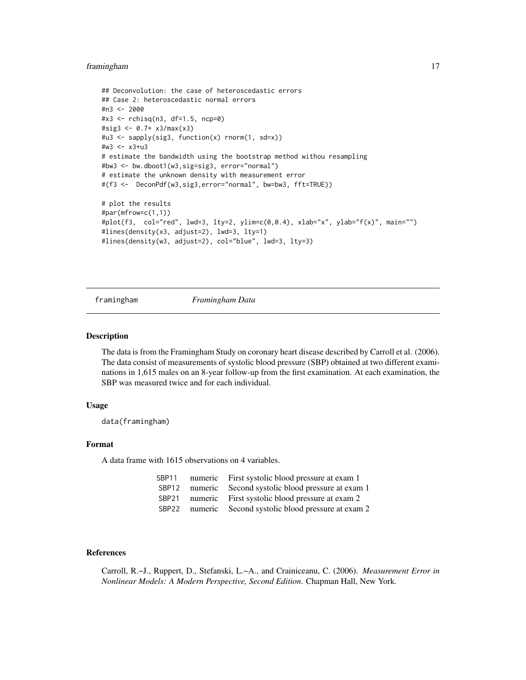### <span id="page-16-0"></span>framingham 17

```
## Deconvolution: the case of heteroscedastic errors
## Case 2: heteroscedastic normal errors
#n3 <- 2000
#x3 <- rchisq(n3, df=1.5, ncp=0)
#sig3 <- 0.7+ x3/max(x3)
#u3 <- sapply(sig3, function(x) rnorm(1, sd=x))
#w3 <- x3+u3
# estimate the bandwidth using the bootstrap method withou resampling
#bw3 <- bw.dboot1(w3,sig=sig3, error="normal")
# estimate the unknown density with measurement error
#(f3 <- DeconPdf(w3,sig3,error="normal", bw=bw3, fft=TRUE))
# plot the results
#par(mfrow=c(1,1))
#plot(f3, col="red", lwd=3, lty=2, ylim=c(0,0.4), xlab="x", ylab="f(x)", main="")
#lines(density(x3, adjust=2), lwd=3, lty=1)
#lines(density(w3, adjust=2), col="blue", lwd=3, lty=3)
```
framingham *Framingham Data*

### **Description**

The data is from the Framingham Study on coronary heart disease described by Carroll et al. (2006). The data consist of measurements of systolic blood pressure (SBP) obtained at two different examinations in 1,615 males on an 8-year follow-up from the first examination. At each examination, the SBP was measured twice and for each individual.

#### Usage

data(framingham)

### Format

A data frame with 1615 observations on 4 variables.

| SBP11             |         | numeric First systolic blood pressure at exam 1  |
|-------------------|---------|--------------------------------------------------|
| SBP12             | numeric | Second systolic blood pressure at exam 1         |
| SBP <sub>21</sub> |         | numeric First systolic blood pressure at exam 2  |
| SBP <sub>22</sub> |         | numeric Second systolic blood pressure at exam 2 |

#### References

Carroll, R.~J., Ruppert, D., Stefanski, L.~A., and Crainiceanu, C. (2006). *Measurement Error in Nonlinear Models: A Modern Perspective, Second Edition*. Chapman Hall, New York.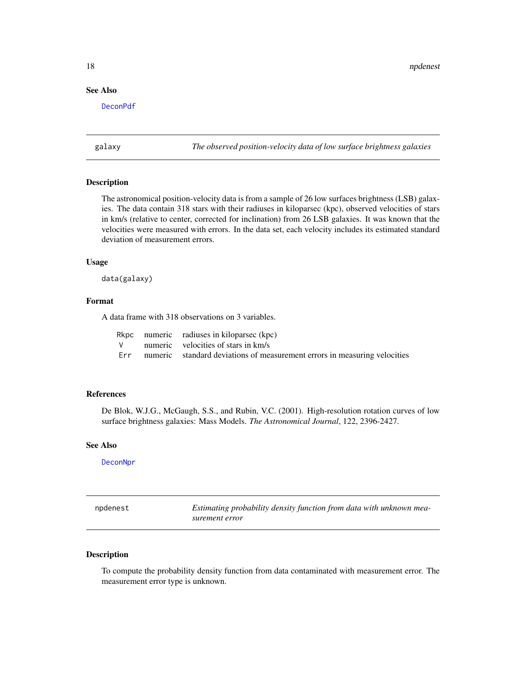### <span id="page-17-0"></span>See Also

[DeconPdf](#page-13-1)

galaxy *The observed position-velocity data of low surface brightness galaxies*

#### Description

The astronomical position-velocity data is from a sample of 26 low surfaces brightness (LSB) galaxies. The data contain 318 stars with their radiuses in kiloparsec (kpc), observed velocities of stars in km/s (relative to center, corrected for inclination) from 26 LSB galaxies. It was known that the velocities were measured with errors. In the data set, each velocity includes its estimated standard deviation of measurement errors.

#### Usage

data(galaxy)

### Format

A data frame with 318 observations on 3 variables.

|  | Rkpc numeric radiuses in kiloparsec (kpc)                                     |
|--|-------------------------------------------------------------------------------|
|  | $V$ numeric velocities of stars in $km/s$                                     |
|  | Err numeric standard deviations of measurement errors in measuring velocities |

#### References

De Blok, W.J.G., McGaugh, S.S., and Rubin, V.C. (2001). High-resolution rotation curves of low surface brightness galaxies: Mass Models. *The Astronomical Journal*, 122, 2396-2427.

#### See Also

**[DeconNpr](#page-11-1)** 

npdenest *Estimating probability density function from data with unknown measurement error*

#### Description

To compute the probability density function from data contaminated with measurement error. The measurement error type is unknown.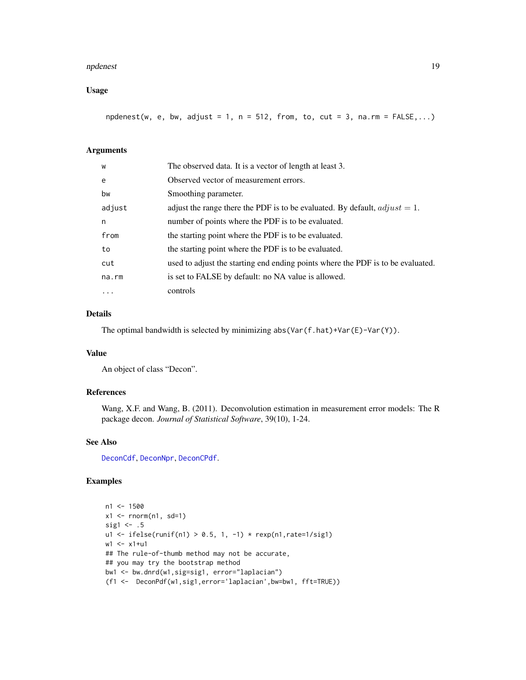#### <span id="page-18-0"></span>npdenest the contract of the contract of the contract of the contract of the contract of the contract of the contract of the contract of the contract of the contract of the contract of the contract of the contract of the c

### Usage

npdenest(w, e, bw, adjust = 1, n = 512, from, to, cut = 3, na.rm =  $FALSE,...)$ 

### Arguments

| W      | The observed data. It is a vector of length at least 3.                         |
|--------|---------------------------------------------------------------------------------|
| e      | Observed vector of measurement errors.                                          |
| bw     | Smoothing parameter.                                                            |
| adjust | adjust the range there the PDF is to be evaluated. By default, $adjust = 1$ .   |
| n      | number of points where the PDF is to be evaluated.                              |
| from   | the starting point where the PDF is to be evaluated.                            |
| to     | the starting point where the PDF is to be evaluated.                            |
| cut    | used to adjust the starting end ending points where the PDF is to be evaluated. |
| na.rm  | is set to FALSE by default: no NA value is allowed.                             |
| .      | controls                                                                        |

### Details

The optimal bandwidth is selected by minimizing abs(Var(f.hat)+Var(E)-Var(Y)).

### Value

An object of class "Decon".

### References

Wang, X.F. and Wang, B. (2011). Deconvolution estimation in measurement error models: The R package decon. *Journal of Statistical Software*, 39(10), 1-24.

#### See Also

[DeconCdf](#page-7-1), [DeconNpr](#page-11-1), [DeconCPdf](#page-9-1).

### Examples

```
n1 < -1500x1 \leftarrow \text{norm}(n1, sd=1)sig1 \leftarrow .5
u1 <- ifelse(runif(n1) > 0.5, 1, -1) * resp(n1, rate=1/sig1)w1 <- x1+u1
## The rule-of-thumb method may not be accurate,
## you may try the bootstrap method
bw1 <- bw.dnrd(w1,sig=sig1, error="laplacian")
(f1 <- DeconPdf(w1,sig1,error='laplacian',bw=bw1, fft=TRUE))
```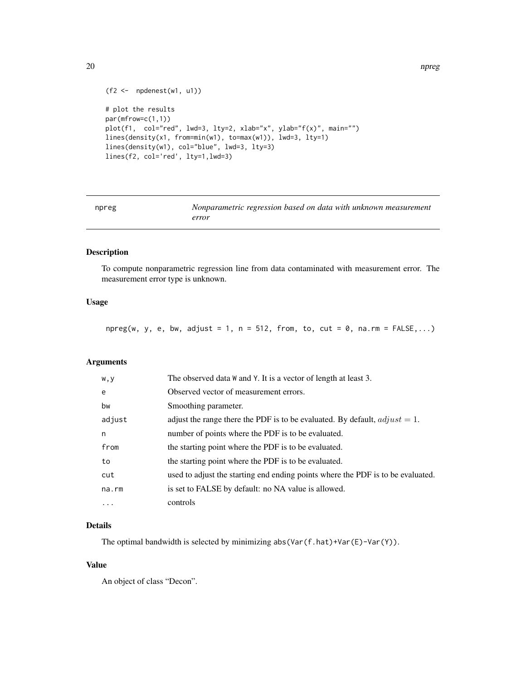```
20 npreg npreg and the set of the set of the set of the set of the set of the set of the set of the set of the set of the set of the set of the set of the set of the set of the set of the set of the set of the set of the s
```

```
(f2 \leftarrow \text{npdenest}(w1, u1))# plot the results
par(mfrow=c(1,1))
plot(f1, col="red", lwd=3, lty=2, xlab="x", ylab="f(x)", main="")
lines(density(x1, from=min(w1), to=max(w1)), lwd=3, lty=1)
lines(density(w1), col="blue", lwd=3, lty=3)
lines(f2, col='red', lty=1,lwd=3)
```
npreg *Nonparametric regression based on data with unknown measurement error*

### Description

To compute nonparametric regression line from data contaminated with measurement error. The measurement error type is unknown.

### Usage

 $npreg(w, y, e, bw, adjust = 1, n = 512, from, to, cut = 0, na.rm = FALSE,...)$ 

### Arguments

| w, y     | The observed data W and Y. It is a vector of length at least 3.                 |
|----------|---------------------------------------------------------------------------------|
| e        | Observed vector of measurement errors.                                          |
| bw       | Smoothing parameter.                                                            |
| adjust   | adjust the range there the PDF is to be evaluated. By default, $adjust = 1$ .   |
| n        | number of points where the PDF is to be evaluated.                              |
| from     | the starting point where the PDF is to be evaluated.                            |
| to       | the starting point where the PDF is to be evaluated.                            |
| cut      | used to adjust the starting end ending points where the PDF is to be evaluated. |
| na.rm    | is set to FALSE by default: no NA value is allowed.                             |
| $\cdots$ | controls                                                                        |

### Details

The optimal bandwidth is selected by minimizing abs(Var(f.hat)+Var(E)-Var(Y)).

### Value

An object of class "Decon".

<span id="page-19-0"></span>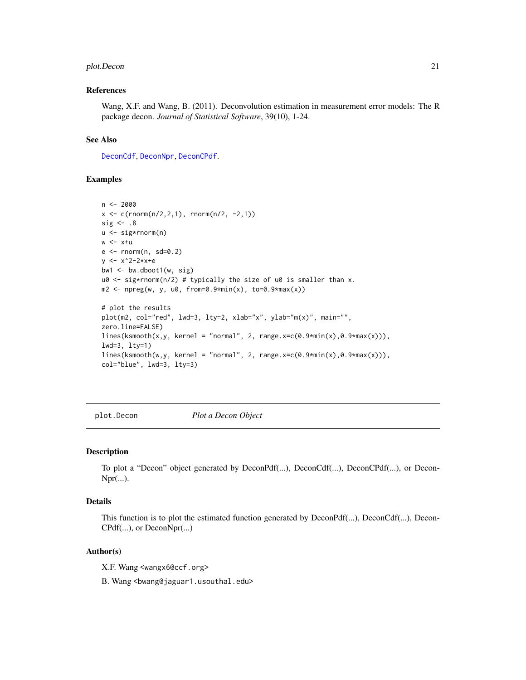#### <span id="page-20-0"></span>plot.Decon 21

#### References

Wang, X.F. and Wang, B. (2011). Deconvolution estimation in measurement error models: The R package decon. *Journal of Statistical Software*, 39(10), 1-24.

#### See Also

[DeconCdf](#page-7-1), [DeconNpr](#page-11-1), [DeconCPdf](#page-9-1).

### Examples

```
n < -2000x \leq c(\text{rnorm}(n/2, 2, 1), \text{rnorm}(n/2, -2, 1))sig \leftarrow .8
u <- sig*rnorm(n)
w < -x+ue <- rnorm(n, sd=0.2)
y \le -x^2-2*x+ebw1 \leq bw.dboot1(w, sig)
u0 \leq - sig*rnorm(n/2) # typically the size of u0 is smaller than x.
m2 \leq -npreg(w, y, u0, from=0.9*min(x), to=0.9*max(x))# plot the results
plot(m2, col="red", lwd=3, lty=2, xlab="x", ylab="m(x)", main="",
zero.line=FALSE)
lines(ksmooth(x,y, kernel = "normal", 2, range.x=c(0.9*min(x),0.9*max(x))),
lwd=3, lty=1)
lines(ksmooth(w,y, kernel = "normal", 2, range.x=c(0.9*min(x),0.9*max(x))),
col="blue", lwd=3, lty=3)
```
plot.Decon *Plot a Decon Object*

#### Description

To plot a "Decon" object generated by DeconPdf(...), DeconCdf(...), DeconCPdf(...), or Decon- $Npr(\ldots).$ 

### Details

This function is to plot the estimated function generated by  $DeconPdf(...)$ ,  $DeconCdf(...)$ ,  $Decon-$ CPdf(...), or DeconNpr(...)

#### Author(s)

X.F. Wang <wangx6@ccf.org>

B. Wang <bwang@jaguar1.usouthal.edu>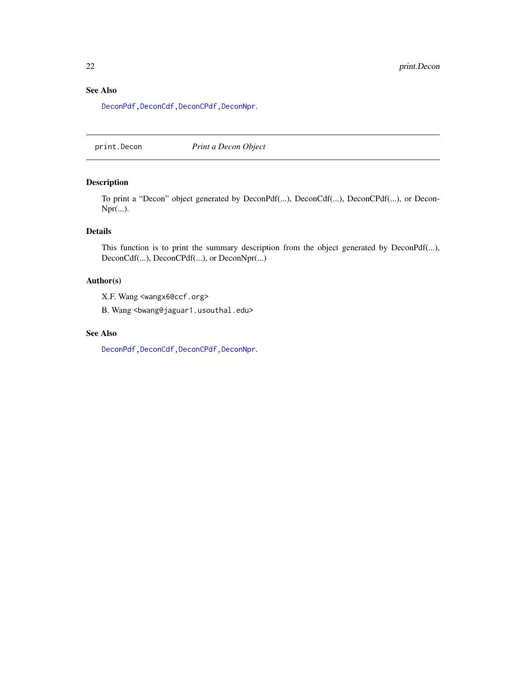### <span id="page-21-0"></span>See Also

[DeconPdf](#page-13-1)[,DeconCdf](#page-7-1)[,DeconCPdf,](#page-9-1)[DeconNpr](#page-11-1).

print.Decon *Print a Decon Object*

### Description

To print a "Decon" object generated by DeconPdf(...), DeconCdf(...), DeconCPdf(...), or Decon-Npr(...).

### Details

This function is to print the summary description from the object generated by DeconPdf(...), DeconCdf(...), DeconCPdf(...), or DeconNpr(...)

### Author(s)

X.F. Wang <wangx6@ccf.org>

B. Wang <bwang@jaguar1.usouthal.edu>

### See Also

[DeconPdf](#page-13-1)[,DeconCdf](#page-7-1)[,DeconCPdf,](#page-9-1)[DeconNpr](#page-11-1).